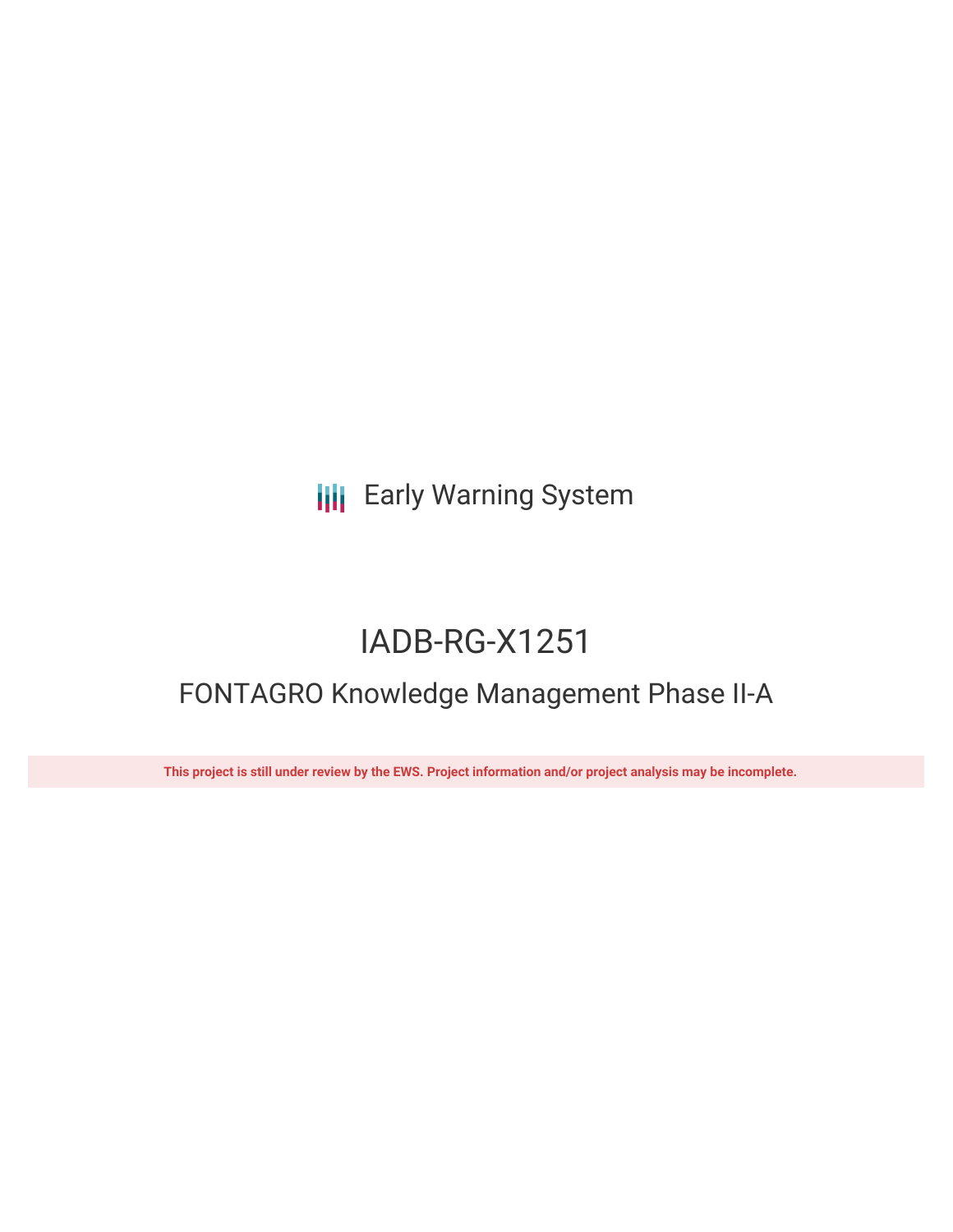# **III** Early Warning System

# IADB-RG-X1251

# FONTAGRO Knowledge Management Phase II-A

This project is still under review by the EWS. Project information and/or project analysis may be incomplete.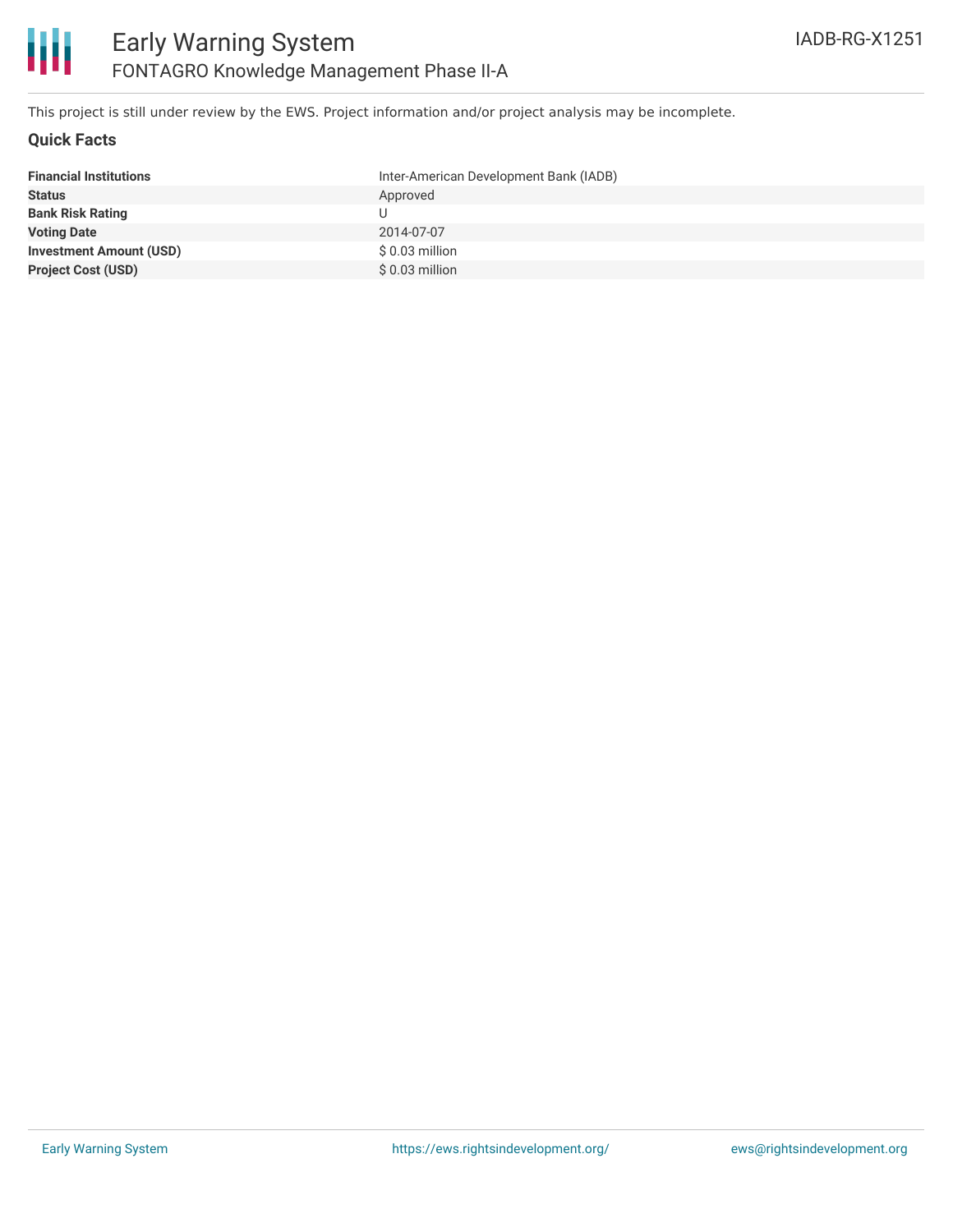This project is still under review by the EWS. Project information and/or project analysis may be incomplete.

### **Quick Facts**

| <b>Financial Institutions</b>  | Inter-American Development Bank (IADB) |
|--------------------------------|----------------------------------------|
| <b>Status</b>                  | Approved                               |
| <b>Bank Risk Rating</b>        |                                        |
| <b>Voting Date</b>             | 2014-07-07                             |
| <b>Investment Amount (USD)</b> | $$0.03$ million                        |
| <b>Project Cost (USD)</b>      | $$0.03$ million                        |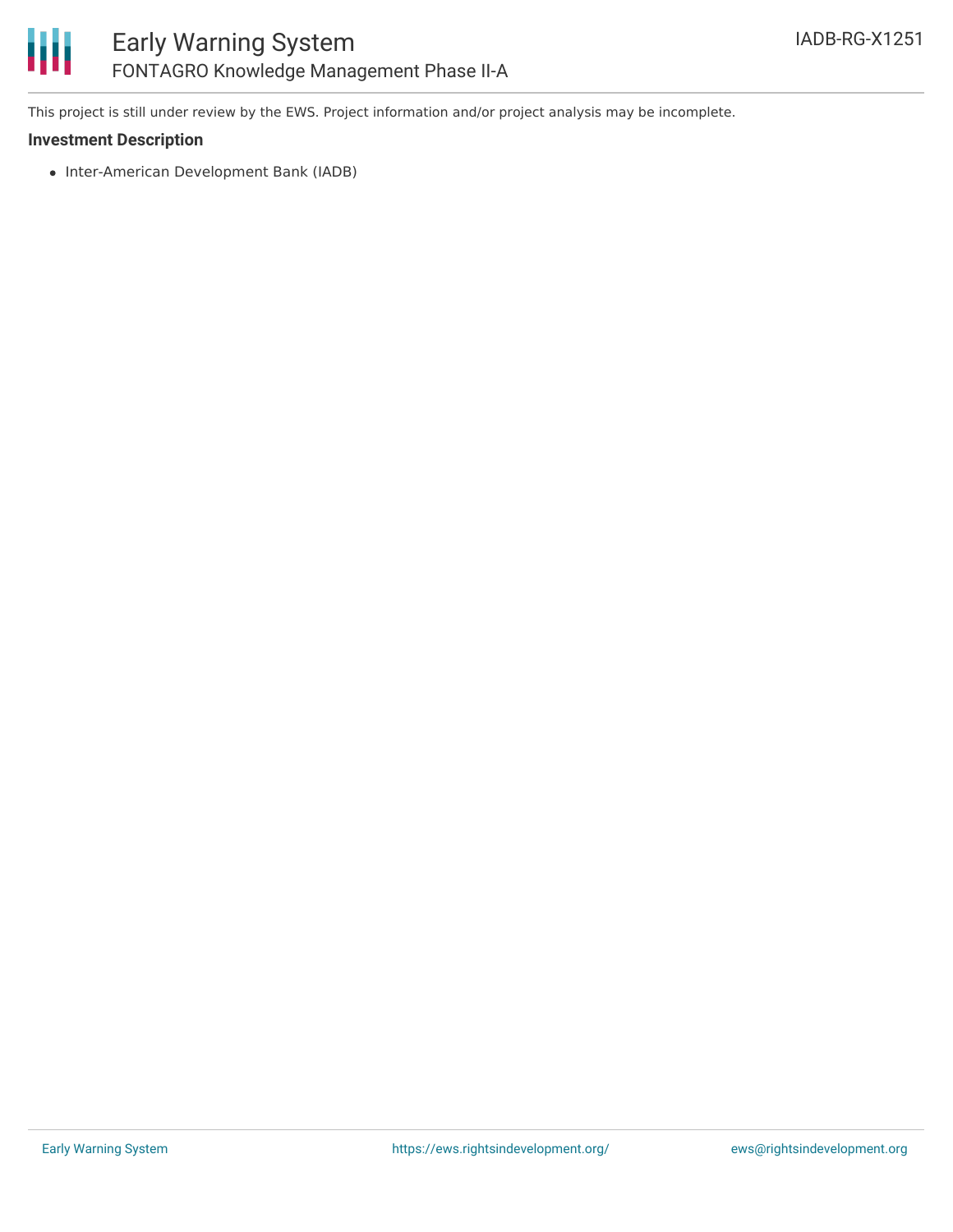# ₩ Early Warning System FONTAGRO Knowledge Management Phase II-A

This project is still under review by the EWS. Project information and/or project analysis may be incomplete.

## **Investment Description**

• Inter-American Development Bank (IADB)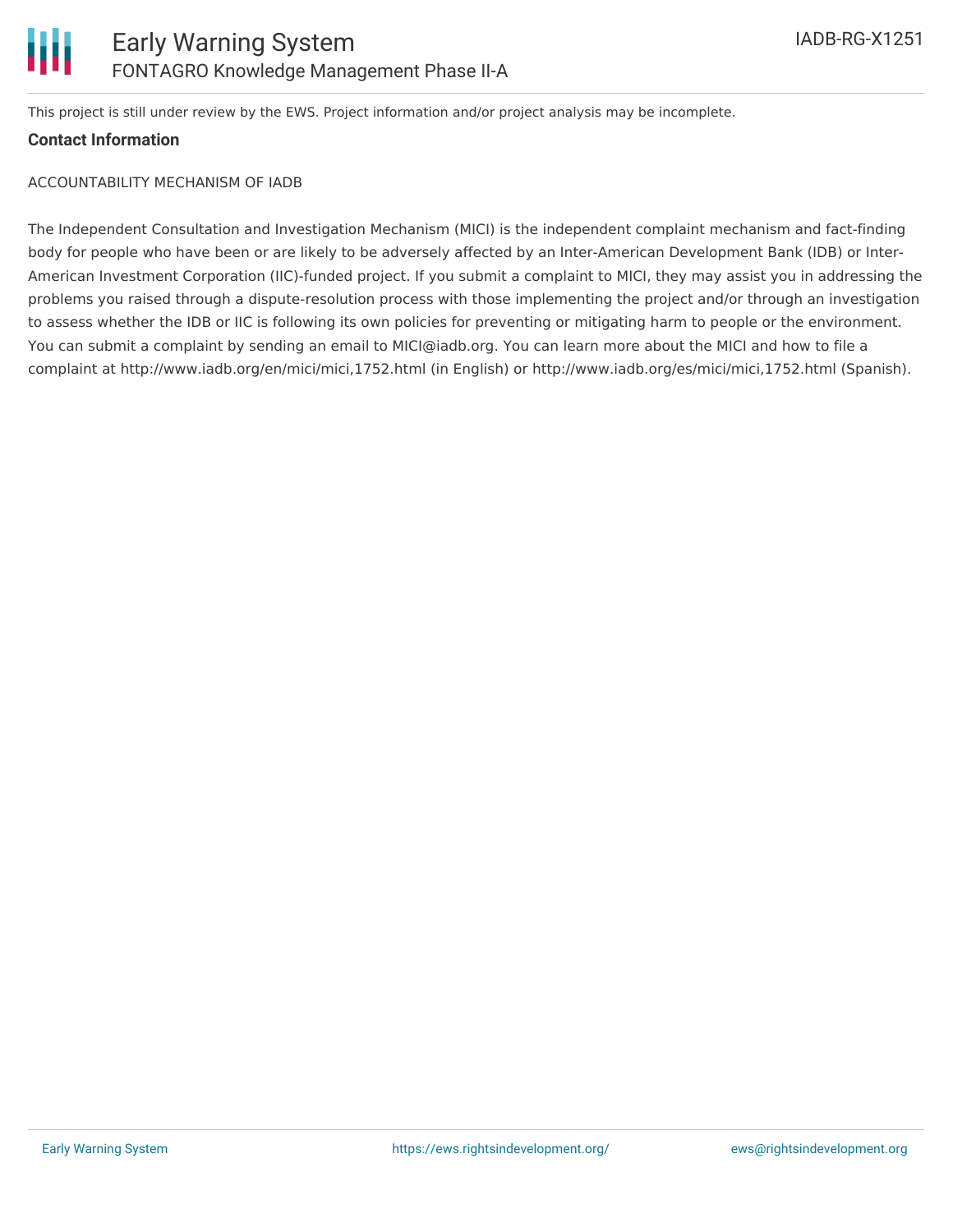This project is still under review by the EWS. Project information and/or project analysis may be incomplete.

## **Contact Information**

## ACCOUNTABILITY MECHANISM OF IADB

The Independent Consultation and Investigation Mechanism (MICI) is the independent complaint mechanism and fact-finding body for people who have been or are likely to be adversely affected by an Inter-American Development Bank (IDB) or Inter-American Investment Corporation (IIC)-funded project. If you submit a complaint to MICI, they may assist you in addressing the problems you raised through a dispute-resolution process with those implementing the project and/or through an investigation to assess whether the IDB or IIC is following its own policies for preventing or mitigating harm to people or the environment. You can submit a complaint by sending an email to MICI@iadb.org. You can learn more about the MICI and how to file a complaint at http://www.iadb.org/en/mici/mici,1752.html (in English) or http://www.iadb.org/es/mici/mici,1752.html (Spanish).